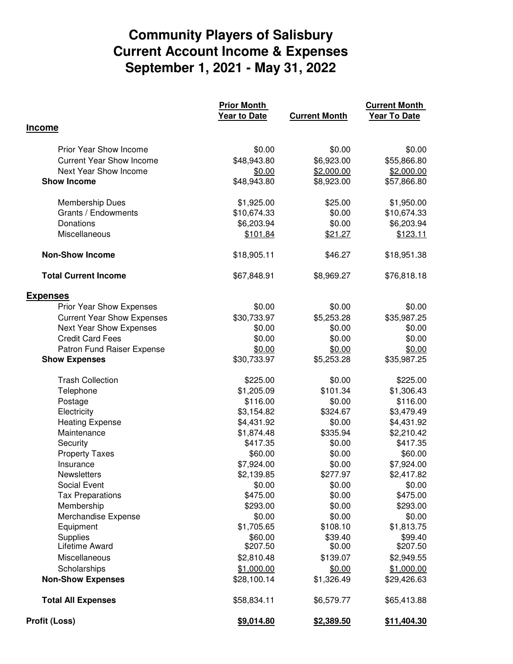## **Community Players of Salisbury September 1, 2021 - May 31, 2022 Current Account Income & Expenses**

|                                   | <b>Prior Month</b>  |                      | <b>Current Month</b> |
|-----------------------------------|---------------------|----------------------|----------------------|
|                                   | <b>Year to Date</b> | <b>Current Month</b> | <b>Year To Date</b>  |
| <b>Income</b>                     |                     |                      |                      |
|                                   |                     |                      |                      |
| <b>Prior Year Show Income</b>     | \$0.00              | \$0.00               | \$0.00               |
| <b>Current Year Show Income</b>   | \$48,943.80         | \$6,923.00           | \$55,866.80          |
| Next Year Show Income             | \$0.00              | \$2,000.00           | \$2,000.00           |
| <b>Show Income</b>                | \$48,943.80         | \$8,923.00           | \$57,866.80          |
| Membership Dues                   | \$1,925.00          | \$25.00              | \$1,950.00           |
| Grants / Endowments               | \$10,674.33         | \$0.00               | \$10,674.33          |
| Donations                         | \$6,203.94          | \$0.00               | \$6,203.94           |
| Miscellaneous                     | \$101.84            | \$21.27              | \$123.11             |
| <b>Non-Show Income</b>            | \$18,905.11         | \$46.27              | \$18,951.38          |
| <b>Total Current Income</b>       | \$67,848.91         | \$8,969.27           | \$76,818.18          |
| <b>Expenses</b>                   |                     |                      |                      |
| Prior Year Show Expenses          | \$0.00              | \$0.00               | \$0.00               |
| <b>Current Year Show Expenses</b> | \$30,733.97         | \$5,253.28           | \$35,987.25          |
| Next Year Show Expenses           | \$0.00              | \$0.00               | \$0.00               |
| <b>Credit Card Fees</b>           | \$0.00              | \$0.00               | \$0.00               |
| Patron Fund Raiser Expense        | \$0.00              | \$0.00               | \$0.00               |
| <b>Show Expenses</b>              | \$30,733.97         | \$5,253.28           | \$35,987.25          |
| <b>Trash Collection</b>           | \$225.00            | \$0.00               | \$225.00             |
| Telephone                         | \$1,205.09          | \$101.34             | \$1,306.43           |
| Postage                           | \$116.00            | \$0.00               | \$116.00             |
| Electricity                       | \$3,154.82          | \$324.67             | \$3,479.49           |
| <b>Heating Expense</b>            | \$4,431.92          | \$0.00               | \$4,431.92           |
| Maintenance                       | \$1,874.48          | \$335.94             | \$2,210.42           |
| Security                          | \$417.35            | \$0.00               | \$417.35             |
| <b>Property Taxes</b>             | \$60.00             | \$0.00               | \$60.00              |
| Insurance                         | \$7,924.00          | \$0.00               | \$7,924.00           |
| <b>Newsletters</b>                | \$2,139.85          | \$277.97             | \$2,417.82           |
| <b>Social Event</b>               | \$0.00              | \$0.00               | \$0.00               |
| <b>Tax Preparations</b>           | \$475.00            | \$0.00               | \$475.00             |
| Membership                        | \$293.00            | \$0.00               | \$293.00             |
| Merchandise Expense               | \$0.00              | \$0.00               | \$0.00               |
| Equipment                         | \$1,705.65          | \$108.10             | \$1,813.75           |
| Supplies                          | \$60.00             | \$39.40              | \$99.40              |
| Lifetime Award                    | \$207.50            | \$0.00               | \$207.50             |
| Miscellaneous                     | \$2,810.48          | \$139.07             | \$2,949.55           |
| Scholarships                      | \$1,000.00          | \$0.00               | \$1,000.00           |
| <b>Non-Show Expenses</b>          | \$28,100.14         | \$1,326.49           | \$29,426.63          |
| <b>Total All Expenses</b>         | \$58,834.11         | \$6,579.77           | \$65,413.88          |
| <b>Profit (Loss)</b>              | \$9,014.80          | \$2,389.50           | \$11,404.30          |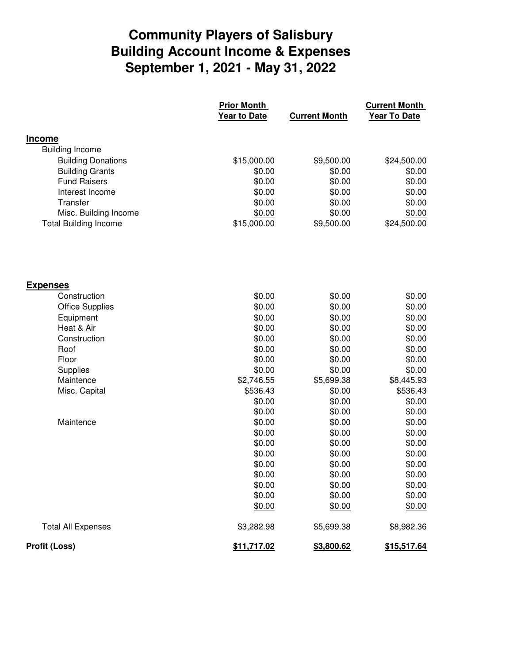## **Community Players of Salisbury September 1, 2021 - May 31, 2022 Building Account Income & Expenses**

|                              | <b>Prior Month</b>  |                      | <b>Current Month</b> |  |
|------------------------------|---------------------|----------------------|----------------------|--|
|                              | <b>Year to Date</b> | <b>Current Month</b> | Year To Date         |  |
| <b>Income</b>                |                     |                      |                      |  |
| <b>Building Income</b>       |                     |                      |                      |  |
| <b>Building Donations</b>    | \$15,000.00         | \$9,500.00           | \$24,500.00          |  |
| <b>Building Grants</b>       | \$0.00              | \$0.00               | \$0.00               |  |
| <b>Fund Raisers</b>          | \$0.00              | \$0.00               | \$0.00               |  |
| Interest Income              | \$0.00              | \$0.00               | \$0.00               |  |
| Transfer                     | \$0.00              | \$0.00               | \$0.00               |  |
| Misc. Building Income        | \$0.00              | \$0.00               | \$0.00               |  |
| <b>Total Building Income</b> | \$15,000.00         | \$9,500.00           | \$24,500.00          |  |
|                              |                     |                      |                      |  |
| <b>Expenses</b>              |                     |                      |                      |  |
| Construction                 | \$0.00              | \$0.00               | \$0.00               |  |
| <b>Office Supplies</b>       | \$0.00              | \$0.00               | \$0.00               |  |
| Equipment                    | \$0.00              | \$0.00               | \$0.00               |  |
| Heat & Air                   | \$0.00              | \$0.00               | \$0.00               |  |
| Construction                 | \$0.00              | \$0.00               | \$0.00               |  |
| Roof                         | \$0.00              | \$0.00               | \$0.00               |  |
| Floor                        | \$0.00              | \$0.00               | \$0.00               |  |
| Supplies                     | \$0.00              | \$0.00               | \$0.00               |  |
| Maintence                    | \$2,746.55          | \$5,699.38           | \$8,445.93           |  |
| Misc. Capital                | \$536.43            | \$0.00               | \$536.43             |  |
|                              | \$0.00              | \$0.00               | \$0.00               |  |
|                              | \$0.00              | \$0.00               | \$0.00               |  |
| Maintence                    | \$0.00              | \$0.00               | \$0.00               |  |
|                              | \$0.00              | \$0.00               | \$0.00               |  |
|                              | \$0.00              | \$0.00               | \$0.00               |  |
|                              | \$0.00              | \$0.00               | \$0.00               |  |
|                              | \$0.00              | \$0.00               | \$0.00               |  |
|                              | \$0.00              | \$0.00               | \$0.00               |  |
|                              | \$0.00              | \$0.00               | \$0.00               |  |
|                              | \$0.00              | \$0.00               | \$0.00               |  |
|                              | \$0.00              | \$0.00               | \$0.00               |  |
| <b>Total All Expenses</b>    | \$3,282.98          | \$5,699.38           | \$8,982.36           |  |
| <b>Profit (Loss)</b>         | \$11,717.02         | \$3,800.62           | \$15,517.64          |  |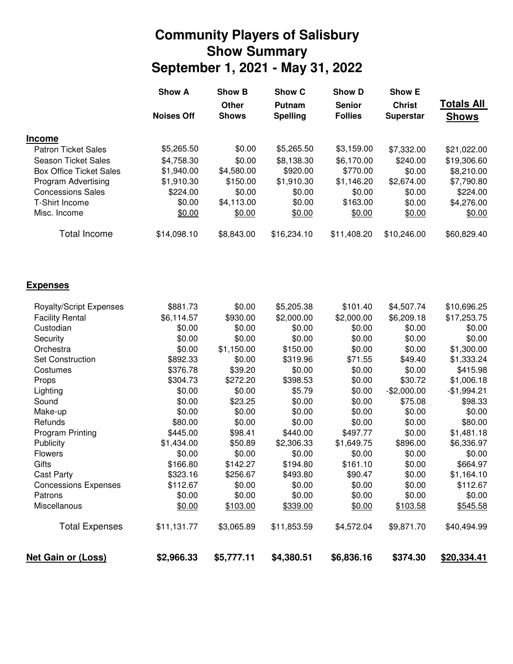## **Community Players of Salisbury September 1, 2021 - May 31, 2022 Show Summary**

|                                | <b>Show A</b>     | <b>Show B</b> | Show C          | <b>Show D</b>  | <b>Show E</b>    |                   |
|--------------------------------|-------------------|---------------|-----------------|----------------|------------------|-------------------|
|                                |                   | <b>Other</b>  | Putnam          | <b>Senior</b>  | <b>Christ</b>    | <b>Totals All</b> |
|                                | <b>Noises Off</b> | <b>Shows</b>  | <b>Spelling</b> | <b>Follies</b> | <b>Superstar</b> | <b>Shows</b>      |
| <b>Income</b>                  |                   |               |                 |                |                  |                   |
| <b>Patron Ticket Sales</b>     | \$5,265.50        | \$0.00        | \$5,265.50      | \$3,159.00     | \$7,332.00       | \$21,022.00       |
| <b>Season Ticket Sales</b>     | \$4,758.30        | \$0.00        | \$8,138.30      | \$6,170.00     | \$240.00         | \$19,306.60       |
| <b>Box Office Ticket Sales</b> | \$1,940.00        | \$4,580.00    | \$920.00        | \$770.00       | \$0.00           | \$8,210.00        |
| <b>Program Advertising</b>     | \$1,910.30        | \$150.00      | \$1,910.30      | \$1,146.20     | \$2,674.00       | \$7,790.80        |
| <b>Concessions Sales</b>       | \$224.00          | \$0.00        | \$0.00          | \$0.00         | \$0.00           | \$224.00          |
| T-Shirt Income                 | \$0.00            | \$4,113.00    | \$0.00          | \$163.00       | \$0.00           | \$4,276.00        |
| Misc. Income                   | \$0.00            | \$0.00        | \$0.00          | \$0.00         | \$0.00           | \$0.00            |
| <b>Total Income</b>            | \$14,098.10       | \$8,843.00    | \$16,234.10     | \$11,408.20    | \$10,246.00      | \$60,829.40       |
| <b>Expenses</b>                |                   |               |                 |                |                  |                   |
|                                |                   |               |                 |                |                  |                   |
| <b>Royalty/Script Expenses</b> | \$881.73          | \$0.00        | \$5,205.38      | \$101.40       | \$4,507.74       | \$10,696.25       |
| <b>Facility Rental</b>         | \$6,114.57        | \$930.00      | \$2,000.00      | \$2,000.00     | \$6,209.18       | \$17,253.75       |
| Custodian                      | \$0.00            | \$0.00        | \$0.00          | \$0.00         | \$0.00           | \$0.00            |
| Security                       | \$0.00            | \$0.00        | \$0.00          | \$0.00         | \$0.00           | \$0.00            |
| Orchestra                      | \$0.00            | \$1,150.00    | \$150.00        | \$0.00         | \$0.00           | \$1,300.00        |
| <b>Set Construction</b>        | \$892.33          | \$0.00        | \$319.96        | \$71.55        | \$49.40          | \$1,333.24        |
| Costumes                       | \$376.78          | \$39.20       | \$0.00          | \$0.00         | \$0.00           | \$415.98          |
| Props                          | \$304.73          | \$272.20      | \$398.53        | \$0.00         | \$30.72          | \$1,006.18        |
| Lighting                       | \$0.00            | \$0.00        | \$5.79          | \$0.00         | $-$2,000.00$     | $-$1,994.21$      |
| Sound                          | \$0.00            | \$23.25       | \$0.00          | \$0.00         | \$75.08          | \$98.33           |
| Make-up                        | \$0.00            | \$0.00        | \$0.00          | \$0.00         | \$0.00           | \$0.00            |
| Refunds                        | \$80.00           | \$0.00        | \$0.00          | \$0.00         | \$0.00           | \$80.00           |
| <b>Program Printing</b>        | \$445.00          | \$98.41       | \$440.00        | \$497.77       | \$0.00           | \$1,481.18        |
| Publicity                      | \$1,434.00        | \$50.89       | \$2,306.33      | \$1,649.75     | \$896.00         | \$6,336.97        |
| <b>Flowers</b>                 | \$0.00            | \$0.00        | \$0.00          | \$0.00         | \$0.00           | \$0.00            |
| Gifts                          | \$166.80          | \$142.27      | \$194.80        | \$161.10       | \$0.00           | \$664.97          |
| <b>Cast Party</b>              | \$323.16          | \$256.67      | \$493.80        | \$90.47        | \$0.00           | \$1,164.10        |
| <b>Concessions Expenses</b>    | \$112.67          | \$0.00        | \$0.00          | \$0.00         | \$0.00           | \$112.67          |
| Patrons                        | \$0.00            | \$0.00        | \$0.00          | \$0.00         | \$0.00           | \$0.00            |
| Miscellanous                   | \$0.00            | \$103.00      | \$339.00        | \$0.00         | \$103.58         | \$545.58          |
| <b>Total Expenses</b>          | \$11,131.77       | \$3,065.89    | \$11,853.59     | \$4,572.04     | \$9,871.70       | \$40,494.99       |

**Net Gain or (Loss) \$2,966.33 \$5,777.11 \$4,380.51 \$6,836.16 \$374.30 \$20,334.41**